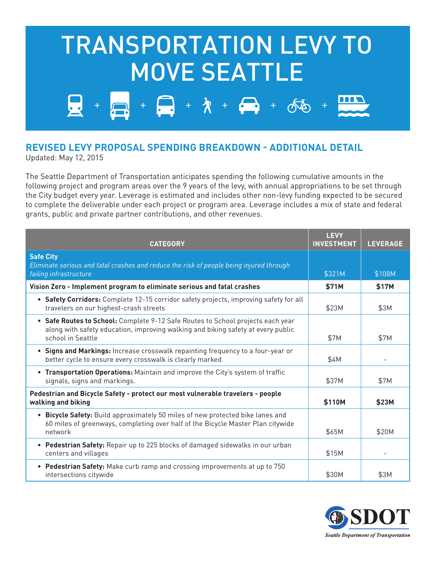## $+ 7 + 2 + 10$ TRANSPORTATION LEVY TO MOVE SEATTLE

## **REVISED LEVY PROPOSAL SPENDING BREAKDOWN - ADDITIONAL DETAIL**

Updated: May 12, 2015

The Seattle Department of Transportation anticipates spending the following cumulative amounts in the following project and program areas over the 9 years of the levy, with annual appropriations to be set through the City budget every year. Leverage is estimated and includes other non-levy funding expected to be secured to complete the deliverable under each project or program area. Leverage includes a mix of state and federal grants, public and private partner contributions, and other revenues.

| <b>CATEGORY</b>                                                                                                                                                                          | <b>LEVY</b><br><b>INVESTMENT</b> | <b>LEVERAGE</b> |
|------------------------------------------------------------------------------------------------------------------------------------------------------------------------------------------|----------------------------------|-----------------|
| <b>Safe City</b><br>Eliminate serious and fatal crashes and reduce the risk of people being injured through<br>failing infrastructure                                                    | \$321M                           | \$108M          |
| Vision Zero - Implement program to eliminate serious and fatal crashes                                                                                                                   | \$71M                            | \$17M           |
| • Safety Corridors: Complete 12-15 corridor safety projects, improving safety for all<br>travelers on our highest-crash streets                                                          | \$23M                            | \$3M            |
| • Safe Routes to School: Complete 9-12 Safe Routes to School projects each year<br>along with safety education, improving walking and biking safety at every public<br>school in Seattle | \$7M                             | \$7M            |
| • Signs and Markings: Increase crosswalk repainting frequency to a four-year or<br>better cycle to ensure every crosswalk is clearly marked                                              | \$4M                             |                 |
| • Transportation Operations: Maintain and improve the City's system of traffic<br>signals, signs and markings.                                                                           | \$37M                            | \$7M            |
| Pedestrian and Bicycle Safety - protect our most vulnerable travelers - people<br>walking and biking                                                                                     | \$110M                           | \$23M           |
| • Bicycle Safety: Build approximately 50 miles of new protected bike lanes and<br>60 miles of greenways, completing over half of the Bicycle Master Plan citywide<br>network             | \$65M                            | \$20M           |
| • Pedestrian Safety: Repair up to 225 blocks of damaged sidewalks in our urban<br>centers and villages                                                                                   | \$15M                            |                 |
| • Pedestrian Safety: Make curb ramp and crossing improvements at up to 750<br>intersections citywide                                                                                     | \$30M                            | \$3M            |

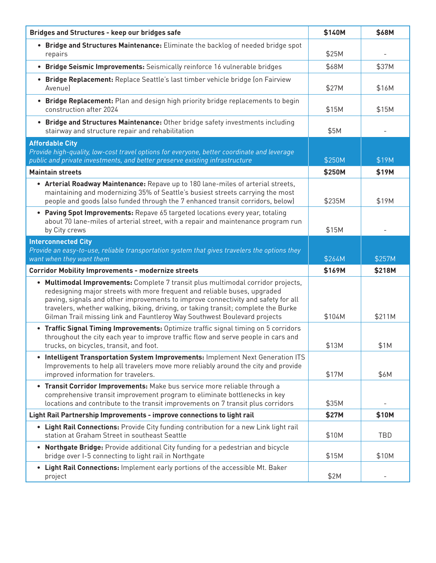| Bridges and Structures - keep our bridges safe                                                                                                                                                                                                                                                                                                                                                                        | \$140M | \$68M  |
|-----------------------------------------------------------------------------------------------------------------------------------------------------------------------------------------------------------------------------------------------------------------------------------------------------------------------------------------------------------------------------------------------------------------------|--------|--------|
| . Bridge and Structures Maintenance: Eliminate the backlog of needed bridge spot<br>repairs                                                                                                                                                                                                                                                                                                                           | \$25M  |        |
| • Bridge Seismic Improvements: Seismically reinforce 16 vulnerable bridges                                                                                                                                                                                                                                                                                                                                            | \$68M  | \$37M  |
| • Bridge Replacement: Replace Seattle's last timber vehicle bridge (on Fairview<br>Avenue)                                                                                                                                                                                                                                                                                                                            | \$27M  | \$16M  |
| • Bridge Replacement: Plan and design high priority bridge replacements to begin<br>construction after 2024                                                                                                                                                                                                                                                                                                           | \$15M  | \$15M  |
| • Bridge and Structures Maintenance: Other bridge safety investments including<br>stairway and structure repair and rehabilitation                                                                                                                                                                                                                                                                                    | \$5M   |        |
| <b>Affordable City</b><br>Provide high-quality, low-cost travel options for everyone, better coordinate and leverage<br>public and private investments, and better preserve existing infrastructure                                                                                                                                                                                                                   | \$250M | \$19M  |
| <b>Maintain streets</b>                                                                                                                                                                                                                                                                                                                                                                                               | \$250M | \$19M  |
| • Arterial Roadway Maintenance: Repave up to 180 lane-miles of arterial streets,<br>maintaining and modernizing 35% of Seattle's busiest streets carrying the most<br>people and goods (also funded through the 7 enhanced transit corridors, below)                                                                                                                                                                  | \$235M | \$19M  |
| • Paving Spot Improvements: Repave 65 targeted locations every year, totaling<br>about 70 lane-miles of arterial street, with a repair and maintenance program run<br>by City crews                                                                                                                                                                                                                                   | \$15M  |        |
| <b>Interconnected City</b><br>Provide an easy-to-use, reliable transportation system that gives travelers the options they<br>want when they want them                                                                                                                                                                                                                                                                | \$264M | \$257M |
| <b>Corridor Mobility Improvements - modernize streets</b>                                                                                                                                                                                                                                                                                                                                                             | \$169M | \$218M |
| • Multimodal Improvements: Complete 7 transit plus multimodal corridor projects,<br>redesigning major streets with more frequent and reliable buses, upgraded<br>paving, signals and other improvements to improve connectivity and safety for all<br>travelers, whether walking, biking, driving, or taking transit; complete the Burke<br>Gilman Trail missing link and Fauntleroy Way Southwest Boulevard projects | \$104M | \$211M |
| . Traffic Signal Timing Improvements: Optimize traffic signal timing on 5 corridors<br>throughout the city each year to improve traffic flow and serve people in cars and<br>trucks, on bicycles, transit, and foot.                                                                                                                                                                                                  | \$13M  | \$1M   |
| . Intelligent Transportation System Improvements: Implement Next Generation ITS<br>Improvements to help all travelers move more reliably around the city and provide<br>improved information for travelers.                                                                                                                                                                                                           | \$17M  | \$6M   |
| • Transit Corridor Improvements: Make bus service more reliable through a<br>comprehensive transit improvement program to eliminate bottlenecks in key<br>locations and contribute to the transit improvements on 7 transit plus corridors                                                                                                                                                                            | \$35M  |        |
| Light Rail Partnership Improvements - improve connections to light rail                                                                                                                                                                                                                                                                                                                                               | \$27M  | \$10M  |
| . Light Rail Connections: Provide City funding contribution for a new Link light rail<br>station at Graham Street in southeast Seattle                                                                                                                                                                                                                                                                                | \$10M  | TBD    |
| • Northgate Bridge: Provide additional City funding for a pedestrian and bicycle<br>bridge over I-5 connecting to light rail in Northgate                                                                                                                                                                                                                                                                             | \$15M  | \$10M  |
| • Light Rail Connections: Implement early portions of the accessible Mt. Baker<br>project                                                                                                                                                                                                                                                                                                                             | \$2M   |        |